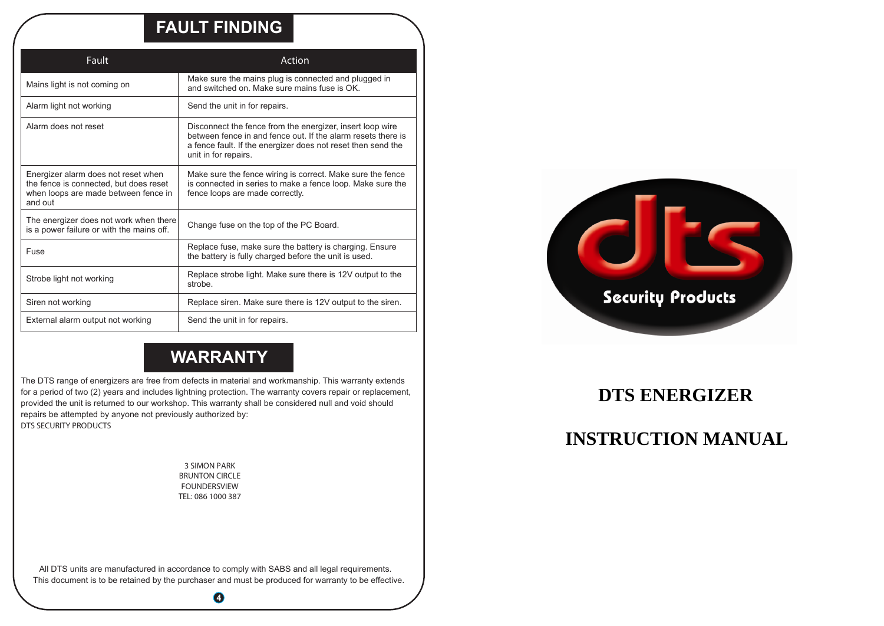### **FAULT FINDING**

| Fault                                                                                                                            | Action                                                                                                                                                                                                            |
|----------------------------------------------------------------------------------------------------------------------------------|-------------------------------------------------------------------------------------------------------------------------------------------------------------------------------------------------------------------|
| Mains light is not coming on                                                                                                     | Make sure the mains plug is connected and plugged in<br>and switched on Make sure mains fuse is OK                                                                                                                |
| Alarm light not working                                                                                                          | Send the unit in for repairs.                                                                                                                                                                                     |
| Alarm does not reset                                                                                                             | Disconnect the fence from the energizer, insert loop wire<br>between fence in and fence out. If the alarm resets there is<br>a fence fault. If the energizer does not reset then send the<br>unit in for repairs. |
| Energizer alarm does not reset when<br>the fence is connected, but does reset<br>when loops are made between fence in<br>and out | Make sure the fence wiring is correct. Make sure the fence<br>is connected in series to make a fence loop. Make sure the<br>fence loops are made correctly.                                                       |
| The energizer does not work when there<br>is a power failure or with the mains off.                                              | Change fuse on the top of the PC Board.                                                                                                                                                                           |
| Fuse                                                                                                                             | Replace fuse, make sure the battery is charging. Ensure<br>the battery is fully charged before the unit is used.                                                                                                  |
| Strobe light not working                                                                                                         | Replace strobe light. Make sure there is 12V output to the<br>strobe.                                                                                                                                             |
| Siren not working                                                                                                                | Replace siren. Make sure there is 12V output to the siren.                                                                                                                                                        |
| External alarm output not working                                                                                                | Send the unit in for repairs.                                                                                                                                                                                     |

## **WARRANTY**

The DTS range of energizers are free from defects in material and workmanship. This warranty extends for <sup>a</sup> period of two (2) years and includes lightning protection. The warranty covers repair or replacement, provided the unit is returned to our workshop. This warranty shall be considered null and void should repairs be attempted by anyone not previously authorized by: **DTS SECURITY PRODUCTS**

 **3 SIMON PARK BRUNTON CIRCLE FOUNDERSVIEW TEL: 086 1000 387**

> All DTS units are manufactured in accordance to comply with SABS and all legal requirements. This document is to be retained by the purchaser and must be produced for warranty to be effective.

> > **4**



### **DTS ENERGIZER**

## **INSTRUCTION MANUAL**